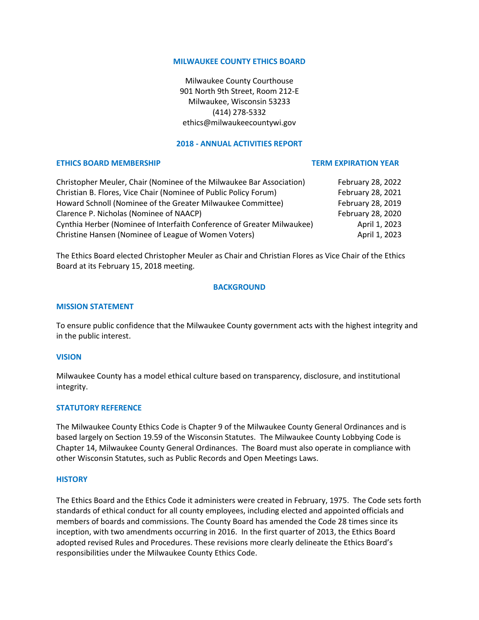## **MILWAUKEE COUNTY ETHICS BOARD**

Milwaukee County Courthouse 901 North 9th Street, Room 212-E Milwaukee, Wisconsin 53233 (414) 278-5332 ethics@milwaukeecountywi.gov

## **2018 - ANNUAL ACTIVITIES REPORT**

#### **ETHICS BOARD MEMBERSHIP TERM EXPIRATION YEAR**

| Christopher Meuler, Chair (Nominee of the Milwaukee Bar Association)   | February 28, 2022 |
|------------------------------------------------------------------------|-------------------|
| Christian B. Flores, Vice Chair (Nominee of Public Policy Forum)       | February 28, 2021 |
| Howard Schnoll (Nominee of the Greater Milwaukee Committee)            | February 28, 2019 |
| Clarence P. Nicholas (Nominee of NAACP)                                | February 28, 2020 |
| Cynthia Herber (Nominee of Interfaith Conference of Greater Milwaukee) | April 1, 2023     |
| Christine Hansen (Nominee of League of Women Voters)                   | April 1, 2023     |

The Ethics Board elected Christopher Meuler as Chair and Christian Flores as Vice Chair of the Ethics Board at its February 15, 2018 meeting.

#### **BACKGROUND**

#### **MISSION STATEMENT**

To ensure public confidence that the Milwaukee County government acts with the highest integrity and in the public interest.

#### **VISION**

Milwaukee County has a model ethical culture based on transparency, disclosure, and institutional integrity.

#### **STATUTORY REFERENCE**

The Milwaukee County Ethics Code is Chapter 9 of the Milwaukee County General Ordinances and is based largely on Section 19.59 of the Wisconsin Statutes. The Milwaukee County Lobbying Code is Chapter 14, Milwaukee County General Ordinances. The Board must also operate in compliance with other Wisconsin Statutes, such as Public Records and Open Meetings Laws.

#### **HISTORY**

The Ethics Board and the Ethics Code it administers were created in February, 1975. The Code sets forth standards of ethical conduct for all county employees, including elected and appointed officials and members of boards and commissions. The County Board has amended the Code 28 times since its inception, with two amendments occurring in 2016. In the first quarter of 2013, the Ethics Board adopted revised Rules and Procedures. These revisions more clearly delineate the Ethics Board's responsibilities under the Milwaukee County Ethics Code.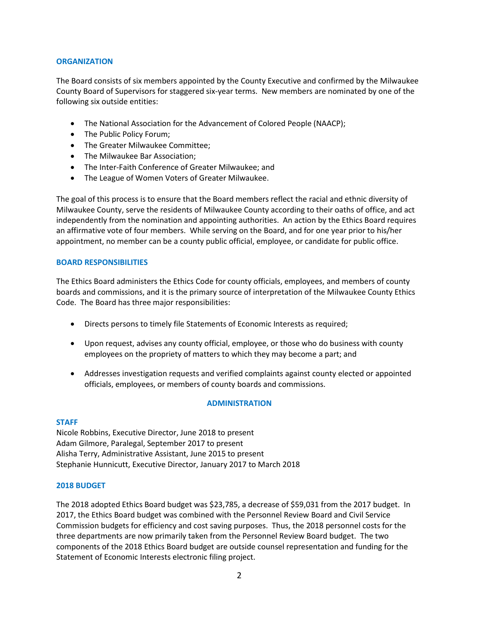# **ORGANIZATION**

The Board consists of six members appointed by the County Executive and confirmed by the Milwaukee County Board of Supervisors for staggered six-year terms. New members are nominated by one of the following six outside entities:

- The National Association for the Advancement of Colored People (NAACP);
- The Public Policy Forum;
- The Greater Milwaukee Committee;
- The Milwaukee Bar Association;
- The Inter-Faith Conference of Greater Milwaukee; and
- The League of Women Voters of Greater Milwaukee.

The goal of this process is to ensure that the Board members reflect the racial and ethnic diversity of Milwaukee County, serve the residents of Milwaukee County according to their oaths of office, and act independently from the nomination and appointing authorities. An action by the Ethics Board requires an affirmative vote of four members. While serving on the Board, and for one year prior to his/her appointment, no member can be a county public official, employee, or candidate for public office.

# **BOARD RESPONSIBILITIES**

The Ethics Board administers the Ethics Code for county officials, employees, and members of county boards and commissions, and it is the primary source of interpretation of the Milwaukee County Ethics Code. The Board has three major responsibilities:

- Directs persons to timely file Statements of Economic Interests as required;
- Upon request, advises any county official, employee, or those who do business with county employees on the propriety of matters to which they may become a part; and
- Addresses investigation requests and verified complaints against county elected or appointed officials, employees, or members of county boards and commissions.

# **ADMINISTRATION**

## **STAFF**

Nicole Robbins, Executive Director, June 2018 to present Adam Gilmore, Paralegal, September 2017 to present Alisha Terry, Administrative Assistant, June 2015 to present Stephanie Hunnicutt, Executive Director, January 2017 to March 2018

## **2018 BUDGET**

The 2018 adopted Ethics Board budget was \$23,785, a decrease of \$59,031 from the 2017 budget. In 2017, the Ethics Board budget was combined with the Personnel Review Board and Civil Service Commission budgets for efficiency and cost saving purposes. Thus, the 2018 personnel costs for the three departments are now primarily taken from the Personnel Review Board budget. The two components of the 2018 Ethics Board budget are outside counsel representation and funding for the Statement of Economic Interests electronic filing project.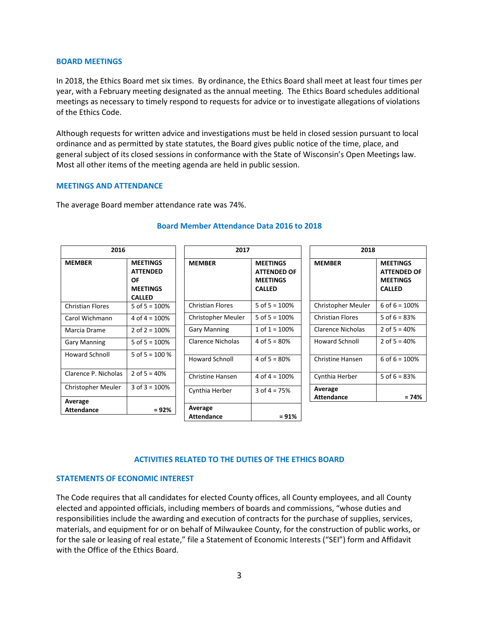#### **BOARD MEETINGS**

In 2018, the Ethics Board met six times. By ordinance, the Ethics Board shall meet at least four times per year, with a February meeting designated as the annual meeting. The Ethics Board schedules additional meetings as necessary to timely respond to requests for advice or to investigate allegations of violations of the Ethics Code.

Although requests for written advice and investigations must be held in closed session pursuant to local ordinance and as permitted by state statutes, the Board gives public notice of the time, place, and general subject of its closed sessions in conformance with the State of Wisconsin's Open Meetings law. Most all other items of the meeting agenda are held in public session.

#### **MEETINGS AND ATTENDANCE**

The average Board member attendance rate was 74%.

| 2016                    |                                                                                     | 2017                    |                                                                           | 2018                    |                                                                           |
|-------------------------|-------------------------------------------------------------------------------------|-------------------------|---------------------------------------------------------------------------|-------------------------|---------------------------------------------------------------------------|
| <b>MEMBER</b>           | <b>MEETINGS</b><br><b>ATTENDED</b><br><b>OF</b><br><b>MEETINGS</b><br><b>CALLED</b> | <b>MEMBER</b>           | <b>MEETINGS</b><br><b>ATTENDED OF</b><br><b>MEETINGS</b><br><b>CALLED</b> | <b>MEMBER</b>           | <b>MEETINGS</b><br><b>ATTENDED OF</b><br><b>MEETINGS</b><br><b>CALLED</b> |
| <b>Christian Flores</b> | 5 of $5 = 100\%$                                                                    | <b>Christian Flores</b> | 5 of $5 = 100\%$                                                          | Christopher Meuler      | 6 of $6 = 100%$                                                           |
| Carol Wichmann          | 4 of $4 = 100\%$                                                                    | Christopher Meuler      | 5 of $5 = 100\%$                                                          | <b>Christian Flores</b> | 5 of $6 = 83%$                                                            |
| Marcia Drame            | 2 of $2 = 100\%$                                                                    | <b>Gary Manning</b>     | 1 of $1 = 100\%$                                                          | Clarence Nicholas       | 2 of $5 = 40\%$                                                           |
| <b>Gary Manning</b>     | 5 of $5 = 100\%$                                                                    | Clarence Nicholas       | 4 of $5 = 80%$                                                            | Howard Schnoll          | 2 of $5 = 40%$                                                            |
| <b>Howard Schnoll</b>   | 5 of $5 = 100\%$                                                                    | <b>Howard Schnoll</b>   | 4 of $5 = 80%$                                                            | <b>Christine Hansen</b> | 6 of $6 = 100\%$                                                          |
| Clarence P. Nicholas    | 2 of $5 = 40%$                                                                      | Christine Hansen        | 4 of $4 = 100\%$                                                          | Cynthia Herber          | 5 of $6 = 83%$                                                            |
| Christopher Meuler      | 3 of $3 = 100\%$                                                                    | Cynthia Herber          | $3$ of $4 = 75%$                                                          | Average                 |                                                                           |
| Average                 |                                                                                     |                         |                                                                           | <b>Attendance</b>       | = 74%                                                                     |
| <b>Attendance</b>       | $= 92%$                                                                             | Average                 |                                                                           |                         |                                                                           |
|                         |                                                                                     | <b>Attendance</b>       | $= 91%$                                                                   |                         |                                                                           |

# **Board Member Attendance Data 2016 to 2018**

## **ACTIVITIES RELATED TO THE DUTIES OF THE ETHICS BOARD**

# **STATEMENTS OF ECONOMIC INTEREST**

The Code requires that all candidates for elected County offices, all County employees, and all County elected and appointed officials, including members of boards and commissions, "whose duties and responsibilities include the awarding and execution of contracts for the purchase of supplies, services, materials, and equipment for or on behalf of Milwaukee County, for the construction of public works, or for the sale or leasing of real estate," file a Statement of Economic Interests ("SEI") form and Affidavit with the Office of the Ethics Board.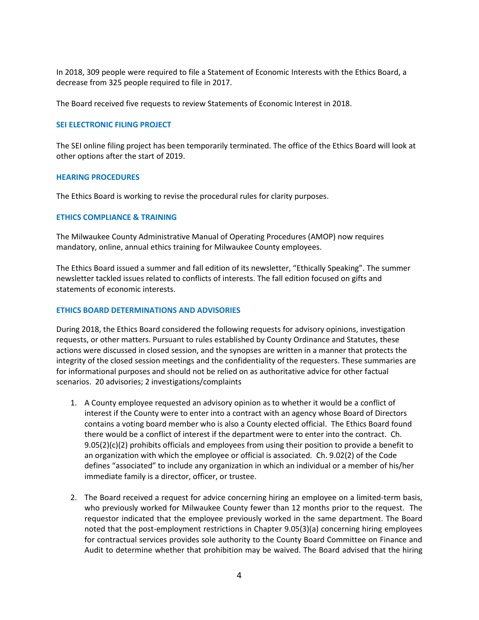In 2018, 309 people were required to file a Statement of Economic Interests with the Ethics Board, a decrease from 325 people required to file in 2017.

The Board received five requests to review Statements of Economic Interest in 2018.

# **SEI ELECTRONIC FILING PROJECT**

The SEI online filing project has been temporarily terminated. The office of the Ethics Board will look at other options after the start of 2019.

## **HEARING PROCEDURES**

The Ethics Board is working to revise the procedural rules for clarity purposes.

# **ETHICS COMPLIANCE & TRAINING**

The Milwaukee County Administrative Manual of Operating Procedures (AMOP) now requires mandatory, online, annual ethics training for Milwaukee County employees.

The Ethics Board issued a summer and fall edition of its newsletter, "Ethically Speaking". The summer newsletter tackled issues related to conflicts of interests. The fall edition focused on gifts and statements of economic interests.

## **ETHICS BOARD DETERMINATIONS AND ADVISORIES**

During 2018, the Ethics Board considered the following requests for advisory opinions, investigation requests, or other matters. Pursuant to rules established by County Ordinance and Statutes, these actions were discussed in closed session, and the synopses are written in a manner that protects the integrity of the closed session meetings and the confidentiality of the requesters. These summaries are for informational purposes and should not be relied on as authoritative advice for other factual scenarios. 20 advisories; 2 investigations/complaints

- 1. A County employee requested an advisory opinion as to whether it would be a conflict of interest if the County were to enter into a contract with an agency whose Board of Directors contains a voting board member who is also a County elected official. The Ethics Board found there would be a conflict of interest if the department were to enter into the contract. Ch.  $9.05(2)(c)(2)$  prohibits officials and employees from using their position to provide a benefit to an organization with which the employee or official is associated. Ch. 9.02(2) of the Code defines "associated" to include any organization in which an individual or a member of his/her immediate family is a director, officer, or trustee.
- 2. The Board received a request for advice concerning hiring an employee on a limited-term basis, who previously worked for Milwaukee County fewer than 12 months prior to the request. The requestor indicated that the employee previously worked in the same department. The Board noted that the post-employment restrictions in Chapter 9.05(3)(a) concerning hiring employees for contractual services provides sole authority to the County Board Committee on Finance and Audit to determine whether that prohibition may be waived. The Board advised that the hiring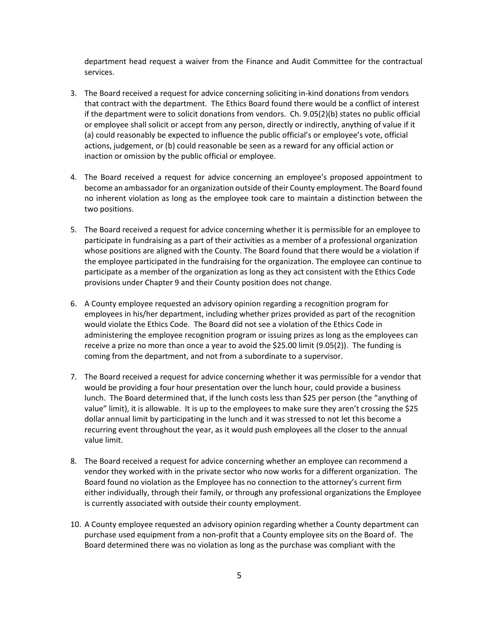department head request a waiver from the Finance and Audit Committee for the contractual services.

- 3. The Board received a request for advice concerning soliciting in-kind donations from vendors that contract with the department. The Ethics Board found there would be a conflict of interest if the department were to solicit donations from vendors. Ch. 9.05(2)(b) states no public official or employee shall solicit or accept from any person, directly or indirectly, anything of value if it (a) could reasonably be expected to influence the public official's or employee's vote, official actions, judgement, or (b) could reasonable be seen as a reward for any official action or inaction or omission by the public official or employee.
- 4. The Board received a request for advice concerning an employee's proposed appointment to become an ambassador for an organization outside of their County employment. The Board found no inherent violation as long as the employee took care to maintain a distinction between the two positions.
- 5. The Board received a request for advice concerning whether it is permissible for an employee to participate in fundraising as a part of their activities as a member of a professional organization whose positions are aligned with the County. The Board found that there would be a violation if the employee participated in the fundraising for the organization. The employee can continue to participate as a member of the organization as long as they act consistent with the Ethics Code provisions under Chapter 9 and their County position does not change.
- 6. A County employee requested an advisory opinion regarding a recognition program for employees in his/her department, including whether prizes provided as part of the recognition would violate the Ethics Code. The Board did not see a violation of the Ethics Code in administering the employee recognition program or issuing prizes as long as the employees can receive a prize no more than once a year to avoid the \$25.00 limit (9.05(2)). The funding is coming from the department, and not from a subordinate to a supervisor.
- 7. The Board received a request for advice concerning whether it was permissible for a vendor that would be providing a four hour presentation over the lunch hour, could provide a business lunch. The Board determined that, if the lunch costs less than \$25 per person (the "anything of value" limit), it is allowable. It is up to the employees to make sure they aren't crossing the \$25 dollar annual limit by participating in the lunch and it was stressed to not let this become a recurring event throughout the year, as it would push employees all the closer to the annual value limit.
- 8. The Board received a request for advice concerning whether an employee can recommend a vendor they worked with in the private sector who now works for a different organization. The Board found no violation as the Employee has no connection to the attorney's current firm either individually, through their family, or through any professional organizations the Employee is currently associated with outside their county employment.
- 10. A County employee requested an advisory opinion regarding whether a County department can purchase used equipment from a non-profit that a County employee sits on the Board of. The Board determined there was no violation as long as the purchase was compliant with the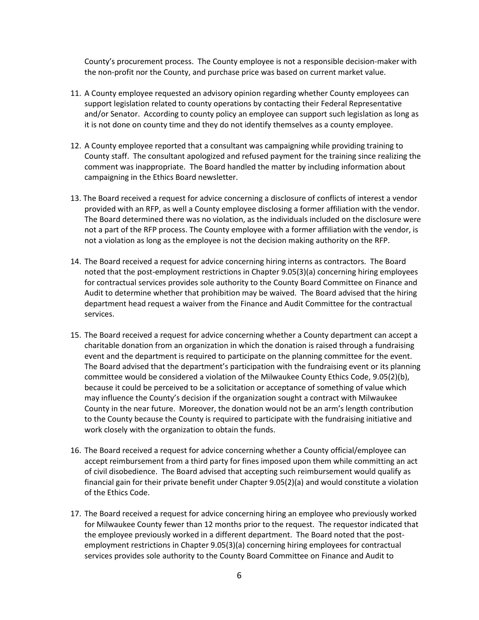County's procurement process. The County employee is not a responsible decision-maker with the non-profit nor the County, and purchase price was based on current market value.

- 11. A County employee requested an advisory opinion regarding whether County employees can support legislation related to county operations by contacting their Federal Representative and/or Senator. According to county policy an employee can support such legislation as long as it is not done on county time and they do not identify themselves as a county employee.
- 12. A County employee reported that a consultant was campaigning while providing training to County staff. The consultant apologized and refused payment for the training since realizing the comment was inappropriate. The Board handled the matter by including information about campaigning in the Ethics Board newsletter.
- 13. The Board received a request for advice concerning a disclosure of conflicts of interest a vendor provided with an RFP, as well a County employee disclosing a former affiliation with the vendor. The Board determined there was no violation, as the individuals included on the disclosure were not a part of the RFP process. The County employee with a former affiliation with the vendor, is not a violation as long as the employee is not the decision making authority on the RFP.
- 14. The Board received a request for advice concerning hiring interns as contractors. The Board noted that the post-employment restrictions in Chapter 9.05(3)(a) concerning hiring employees for contractual services provides sole authority to the County Board Committee on Finance and Audit to determine whether that prohibition may be waived. The Board advised that the hiring department head request a waiver from the Finance and Audit Committee for the contractual services.
- 15. The Board received a request for advice concerning whether a County department can accept a charitable donation from an organization in which the donation is raised through a fundraising event and the department is required to participate on the planning committee for the event. The Board advised that the department's participation with the fundraising event or its planning committee would be considered a violation of the Milwaukee County Ethics Code, 9.05(2)(b), because it could be perceived to be a solicitation or acceptance of something of value which may influence the County's decision if the organization sought a contract with Milwaukee County in the near future. Moreover, the donation would not be an arm's length contribution to the County because the County is required to participate with the fundraising initiative and work closely with the organization to obtain the funds.
- 16. The Board received a request for advice concerning whether a County official/employee can accept reimbursement from a third party for fines imposed upon them while committing an act of civil disobedience. The Board advised that accepting such reimbursement would qualify as financial gain for their private benefit under Chapter 9.05(2)(a) and would constitute a violation of the Ethics Code.
- 17. The Board received a request for advice concerning hiring an employee who previously worked for Milwaukee County fewer than 12 months prior to the request. The requestor indicated that the employee previously worked in a different department. The Board noted that the postemployment restrictions in Chapter 9.05(3)(a) concerning hiring employees for contractual services provides sole authority to the County Board Committee on Finance and Audit to